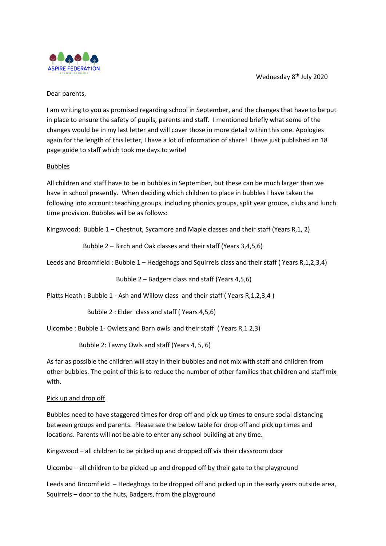Wednesday 8<sup>th</sup> July 2020



Dear parents,

I am writing to you as promised regarding school in September, and the changes that have to be put in place to ensure the safety of pupils, parents and staff. I mentioned briefly what some of the changes would be in my last letter and will cover those in more detail within this one. Apologies again for the length of this letter, I have a lot of information of share! I have just published an 18 page guide to staff which took me days to write!

#### Bubbles

All children and staff have to be in bubbles in September, but these can be much larger than we have in school presently. When deciding which children to place in bubbles I have taken the following into account: teaching groups, including phonics groups, split year groups, clubs and lunch time provision. Bubbles will be as follows:

Kingswood: Bubble 1 – Chestnut, Sycamore and Maple classes and their staff (Years R,1, 2)

Bubble 2 – Birch and Oak classes and their staff (Years 3,4,5,6)

Leeds and Broomfield : Bubble 1 – Hedgehogs and Squirrels class and their staff ( Years R,1,2,3,4)

Bubble 2 – Badgers class and staff (Years 4,5,6)

Platts Heath : Bubble 1 - Ash and Willow class and their staff (Years R,1,2,3,4)

Bubble 2 : Elder class and staff ( Years 4,5,6)

Ulcombe : Bubble 1- Owlets and Barn owls and their staff ( Years R,1 2,3)

Bubble 2: Tawny Owls and staff (Years 4, 5, 6)

As far as possible the children will stay in their bubbles and not mix with staff and children from other bubbles. The point of this is to reduce the number of other families that children and staff mix with.

#### Pick up and drop off

Bubbles need to have staggered times for drop off and pick up times to ensure social distancing between groups and parents. Please see the below table for drop off and pick up times and locations. Parents will not be able to enter any school building at any time.

Kingswood – all children to be picked up and dropped off via their classroom door

Ulcombe – all children to be picked up and dropped off by their gate to the playground

Leeds and Broomfield – Hedeghogs to be dropped off and picked up in the early years outside area, Squirrels – door to the huts, Badgers, from the playground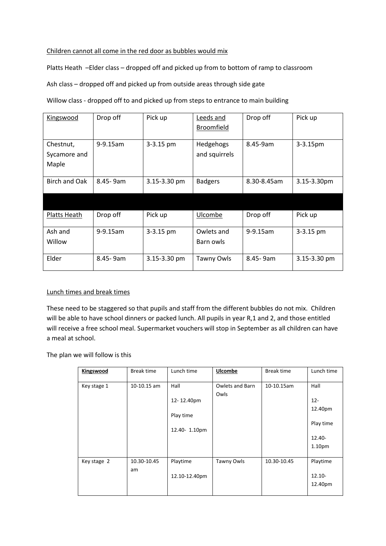### Children cannot all come in the red door as bubbles would mix

Platts Heath –Elder class – dropped off and picked up from to bottom of ramp to classroom

Ash class – dropped off and picked up from outside areas through side gate

Willow class - dropped off to and picked up from steps to entrance to main building

| Kingswood                          | Drop off    | Pick up      | Leeds and<br><b>Broomfield</b> | Drop off    | Pick up      |
|------------------------------------|-------------|--------------|--------------------------------|-------------|--------------|
| Chestnut,<br>Sycamore and<br>Maple | $9-9.15$ am | 3-3.15 pm    | Hedgehogs<br>and squirrels     | 8.45-9am    | 3-3.15pm     |
| Birch and Oak                      | 8.45-9am    | 3.15-3.30 pm | <b>Badgers</b>                 | 8.30-8.45am | 3.15-3.30pm  |
|                                    |             |              |                                |             |              |
| Platts Heath                       | Drop off    | Pick up      | Ulcombe                        | Drop off    | Pick up      |
| Ash and<br>Willow                  | $9-9.15$ am | 3-3.15 pm    | Owlets and<br>Barn owls        | 9-9.15am    | 3-3.15 pm    |
| Elder                              | 8.45 - 9am  | 3.15-3.30 pm | Tawny Owls                     | 8.45 - 9am  | 3.15-3.30 pm |

### Lunch times and break times

These need to be staggered so that pupils and staff from the different bubbles do not mix. Children will be able to have school dinners or packed lunch. All pupils in year R,1 and 2, and those entitled will receive a free school meal. Supermarket vouchers will stop in September as all children can have a meal at school.

The plan we will follow is this

| Kingswood   | Break time        | Lunch time                                      | <b>Ulcombe</b>          | Break time  | Lunch time                                                                |
|-------------|-------------------|-------------------------------------------------|-------------------------|-------------|---------------------------------------------------------------------------|
| Key stage 1 | 10-10.15 am       | Hall<br>12-12.40pm<br>Play time<br>12.40-1.10pm | Owlets and Barn<br>Owls | 10-10.15am  | Hall<br>$12 -$<br>12.40pm<br>Play time<br>$12.40 -$<br>1.10 <sub>pm</sub> |
| Key stage 2 | 10.30-10.45<br>am | Playtime<br>12.10-12.40pm                       | Tawny Owls              | 10.30-10.45 | Playtime<br>$12.10 -$<br>12.40pm                                          |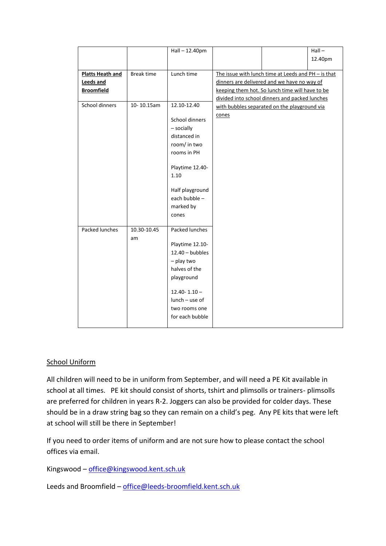|                         |             | Hall-12.40pm      |       |                                                     | $Hall -$ |
|-------------------------|-------------|-------------------|-------|-----------------------------------------------------|----------|
|                         |             |                   |       |                                                     | 12.40pm  |
|                         |             |                   |       |                                                     |          |
| <b>Platts Heath and</b> | Break time  | Lunch time        |       | The issue with lunch time at Leeds and PH - is that |          |
| <b>Leeds and</b>        |             |                   |       | dinners are delivered and we have no way of         |          |
| <b>Broomfield</b>       |             |                   |       | keeping them hot. So lunch time will have to be     |          |
|                         |             |                   |       | divided into school dinners and packed lunches      |          |
| School dinners          | 10-10.15am  | 12.10-12.40       |       | with bubbles separated on the playground via        |          |
|                         |             | School dinners    | cones |                                                     |          |
|                         |             | - socially        |       |                                                     |          |
|                         |             | distanced in      |       |                                                     |          |
|                         |             | room/ in two      |       |                                                     |          |
|                         |             | rooms in PH       |       |                                                     |          |
|                         |             |                   |       |                                                     |          |
|                         |             | Playtime 12.40-   |       |                                                     |          |
|                         |             | 1.10              |       |                                                     |          |
|                         |             |                   |       |                                                     |          |
|                         |             | Half playground   |       |                                                     |          |
|                         |             | each bubble -     |       |                                                     |          |
|                         |             | marked by         |       |                                                     |          |
|                         |             | cones             |       |                                                     |          |
| Packed lunches          | 10.30-10.45 | Packed lunches    |       |                                                     |          |
|                         | am          |                   |       |                                                     |          |
|                         |             | Playtime 12.10-   |       |                                                     |          |
|                         |             | $12.40 - bubbles$ |       |                                                     |          |
|                         |             | - play two        |       |                                                     |          |
|                         |             | halves of the     |       |                                                     |          |
|                         |             | playground        |       |                                                     |          |
|                         |             |                   |       |                                                     |          |
|                         |             | $12.40 - 1.10 -$  |       |                                                     |          |
|                         |             | $lunch - use of$  |       |                                                     |          |
|                         |             | two rooms one     |       |                                                     |          |
|                         |             | for each bubble   |       |                                                     |          |
|                         |             |                   |       |                                                     |          |

# School Uniform

All children will need to be in uniform from September, and will need a PE Kit available in school at all times. PE kit should consist of shorts, tshirt and plimsolls or trainers- plimsolls are preferred for children in years R-2. Joggers can also be provided for colder days. These should be in a draw string bag so they can remain on a child's peg. Any PE kits that were left at school will still be there in September!

If you need to order items of uniform and are not sure how to please contact the school offices via email.

Kingswood - [office@kingswood.kent.sch.uk](mailto:office@kingswood.kent.sch.uk)

Leeds and Broomfield - [office@leeds-broomfield.kent.sch.uk](mailto:office@leeds-broomfield.kent.sch.uk)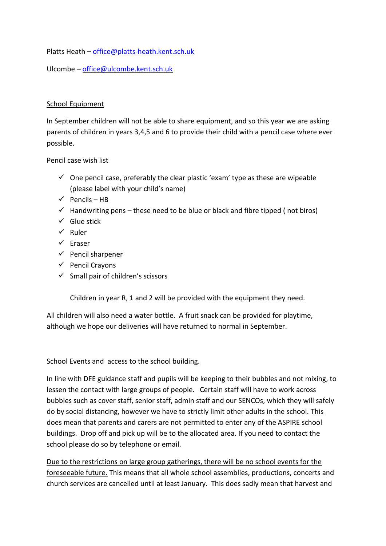Platts Heath – [office@platts-heath.kent.sch.uk](mailto:office@platts-heath.kent.sch.uk)

Ulcombe – [office@ulcombe.kent.sch.uk](mailto:office@ulcombe.kent.sch.uk)

### School Equipment

In September children will not be able to share equipment, and so this year we are asking parents of children in years 3,4,5 and 6 to provide their child with a pencil case where ever possible.

Pencil case wish list

- $\checkmark$  One pencil case, preferably the clear plastic 'exam' type as these are wipeable (please label with your child's name)
- $\checkmark$  Pencils HB
- $\checkmark$  Handwriting pens these need to be blue or black and fibre tipped (not biros)
- $\checkmark$  Glue stick
- ✓ Ruler
- ✓ Eraser
- ✓ Pencil sharpener
- ✓ Pencil Crayons
- ✓ Small pair of children's scissors

Children in year R, 1 and 2 will be provided with the equipment they need.

All children will also need a water bottle. A fruit snack can be provided for playtime, although we hope our deliveries will have returned to normal in September.

# School Events and access to the school building.

In line with DFE guidance staff and pupils will be keeping to their bubbles and not mixing, to lessen the contact with large groups of people. Certain staff will have to work across bubbles such as cover staff, senior staff, admin staff and our SENCOs, which they will safely do by social distancing, however we have to strictly limit other adults in the school. This does mean that parents and carers are not permitted to enter any of the ASPIRE school buildings. Drop off and pick up will be to the allocated area. If you need to contact the school please do so by telephone or email.

Due to the restrictions on large group gatherings, there will be no school events for the foreseeable future. This means that all whole school assemblies, productions, concerts and church services are cancelled until at least January. This does sadly mean that harvest and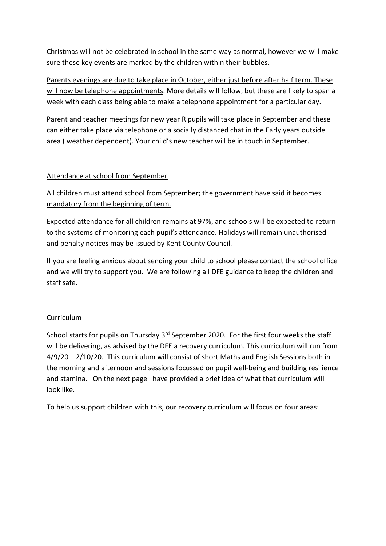Christmas will not be celebrated in school in the same way as normal, however we will make sure these key events are marked by the children within their bubbles.

Parents evenings are due to take place in October, either just before after half term. These will now be telephone appointments. More details will follow, but these are likely to span a week with each class being able to make a telephone appointment for a particular day.

Parent and teacher meetings for new year R pupils will take place in September and these can either take place via telephone or a socially distanced chat in the Early years outside area ( weather dependent). Your child's new teacher will be in touch in September.

# Attendance at school from September

# All children must attend school from September; the government have said it becomes mandatory from the beginning of term.

Expected attendance for all children remains at 97%, and schools will be expected to return to the systems of monitoring each pupil's attendance. Holidays will remain unauthorised and penalty notices may be issued by Kent County Council.

If you are feeling anxious about sending your child to school please contact the school office and we will try to support you. We are following all DFE guidance to keep the children and staff safe.

# Curriculum

School starts for pupils on Thursday 3<sup>rd</sup> September 2020. For the first four weeks the staff will be delivering, as advised by the DFE a recovery curriculum. This curriculum will run from 4/9/20 – 2/10/20. This curriculum will consist of short Maths and English Sessions both in the morning and afternoon and sessions focussed on pupil well-being and building resilience and stamina. On the next page I have provided a brief idea of what that curriculum will look like.

To help us support children with this, our recovery curriculum will focus on four areas: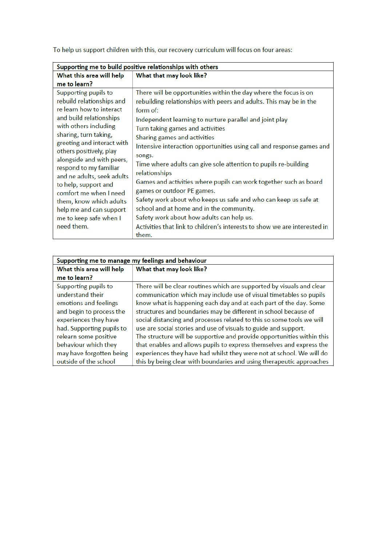To help us support children with this, our recovery curriculum will focus on four areas:

| Supporting me to build positive relationships with others                                                                                                                                                                                                                                                                        |                                                                                                                                                                                                                                                                                                                                                                                                                                                                                                                                                             |  |
|----------------------------------------------------------------------------------------------------------------------------------------------------------------------------------------------------------------------------------------------------------------------------------------------------------------------------------|-------------------------------------------------------------------------------------------------------------------------------------------------------------------------------------------------------------------------------------------------------------------------------------------------------------------------------------------------------------------------------------------------------------------------------------------------------------------------------------------------------------------------------------------------------------|--|
| What this area will help                                                                                                                                                                                                                                                                                                         | What that may look like?                                                                                                                                                                                                                                                                                                                                                                                                                                                                                                                                    |  |
| me to learn?                                                                                                                                                                                                                                                                                                                     |                                                                                                                                                                                                                                                                                                                                                                                                                                                                                                                                                             |  |
| Supporting pupils to<br>rebuild relationships and<br>re learn how to interact<br>and build relationships<br>with others including<br>sharing, turn taking,<br>greeting and interact with<br>others positively, play<br>alongside and with peers,<br>respond to my familiar<br>and ne adults, seek adults<br>to help, support and | There will be opportunities within the day where the focus is on<br>rebuilding relationships with peers and adults. This may be in the<br>form of:<br>Independent learning to nurture parallel and joint play<br>Turn taking games and activities<br>Sharing games and activities<br>Intensive interaction opportunities using call and response games and<br>songs.<br>Time where adults can give sole attention to pupils re-building<br>relationships<br>Games and activities where pupils can work together such as board<br>games or outdoor PE games. |  |
| comfort me when I need<br>them, know which adults<br>help me and can support<br>me to keep safe when I<br>need them.                                                                                                                                                                                                             | Safety work about who keeps us safe and who can keep us safe at<br>school and at home and in the community.<br>Safety work about how adults can help us.<br>Activities that link to children's interests to show we are interested in<br>them.                                                                                                                                                                                                                                                                                                              |  |

| Supporting me to manage my feelings and behaviour |                                                                        |  |
|---------------------------------------------------|------------------------------------------------------------------------|--|
| What this area will help                          | What that may look like?                                               |  |
| me to learn?                                      |                                                                        |  |
| Supporting pupils to                              | There will be clear routines which are supported by visuals and clear  |  |
| understand their                                  | communication which may include use of visual timetables so pupils     |  |
| emotions and feelings                             | know what is happening each day and at each part of the day. Some      |  |
| and begin to process the                          | structures and boundaries may be different in school because of        |  |
| experiences they have                             | social distancing and processes related to this so some tools we will  |  |
| had. Supporting pupils to                         | use are social stories and use of visuals to guide and support.        |  |
| relearn some positive                             | The structure will be supportive and provide opportunities within this |  |
| behaviour which they                              | that enables and allows pupils to express themselves and express the   |  |
| may have forgotten being                          | experiences they have had whilst they were not at school. We will do   |  |
| outside of the school                             | this by being clear with boundaries and using therapeutic approaches   |  |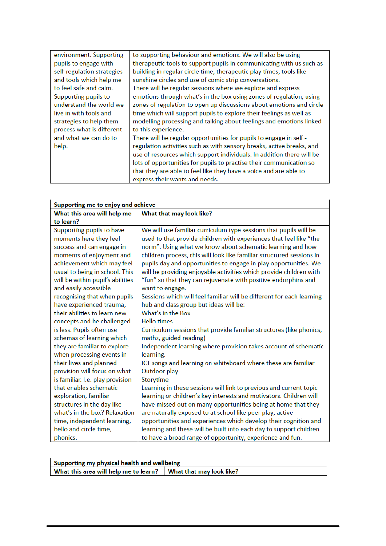| environment. Supporting    | to supporting behaviour and emotions. We will also be using           |
|----------------------------|-----------------------------------------------------------------------|
| pupils to engage with      | therapeutic tools to support pupils in communicating with us such as  |
| self-regulation strategies | building in regular circle time, therapeutic play times, tools like   |
| and tools which help me    | sunshine circles and use of comic strip conversations.                |
| to feel safe and calm.     | There will be regular sessions where we explore and express           |
| Supporting pupils to       | emotions through what's in the box using zones of regulation, using   |
| understand the world we    | zones of regulation to open up discussions about emotions and circle  |
| live in with tools and     | time which will support pupils to explore their feelings as well as   |
| strategies to help them    | modelling processing and talking about feelings and emotions linked   |
| process what is different  | to this experience.                                                   |
| and what we can do to      | There will be regular opportunities for pupils to engage in self -    |
| help.                      | regulation activities such as with sensory breaks, active breaks, and |
|                            | use of resources which support individuals. In addition there will be |
|                            | lots of opportunities for pupils to practise their communication so   |
|                            | that they are able to feel like they have a voice and are able to     |
|                            | express their wants and needs.                                        |

| Supporting me to enjoy and achieve |                                                                       |  |  |
|------------------------------------|-----------------------------------------------------------------------|--|--|
| What this area will help me        | What that may look like?                                              |  |  |
| to learn?                          |                                                                       |  |  |
| Supporting pupils to have          | We will use familiar curriculum type sessions that pupils will be     |  |  |
| moments here they feel             | used to that provide children with experiences that feel like "the    |  |  |
| success and can engage in          | norm". Using what we know about schematic learning and how            |  |  |
| moments of enjoyment and           | children process, this will look like familiar structured sessions in |  |  |
| achievement which may feel         | pupils day and opportunities to engage in play opportunities. We      |  |  |
| usual to being in school. This     | will be providing enjoyable activities which provide children with    |  |  |
| will be within pupil's abilities   | "fun" so that they can rejuvenate with positive endorphins and        |  |  |
| and easily accessible              | want to engage.                                                       |  |  |
| recognising that when pupils       | Sessions which will feel familiar will be different for each learning |  |  |
| have experienced trauma,           | hub and class group but ideas will be:                                |  |  |
| their abilities to learn new       | What's in the Box                                                     |  |  |
| concepts and be challenged         | <b>Hello times</b>                                                    |  |  |
| is less. Pupils often use          | Curriculum sessions that provide familiar structures (like phonics,   |  |  |
| schemas of learning which          | maths, guided reading)                                                |  |  |
| they are familiar to explore       | Independent learning where provision takes account of schematic       |  |  |
| when processing events in          | learning.                                                             |  |  |
| their lives and planned            | ICT songs and learning on whiteboard where these are familiar         |  |  |
| provision will focus on what       | Outdoor play                                                          |  |  |
| is familiar. I.e. play provision   | Storytime                                                             |  |  |
| that enables schematic             | Learning in these sessions will link to previous and current topic    |  |  |
| exploration, familiar              | learning or children's key interests and motivators. Children will    |  |  |
| structures in the day like         | have missed out on many opportunities being at home that they         |  |  |
| what's in the box? Relaxation      | are naturally exposed to at school like peer play, active             |  |  |
| time, independent learning,        | opportunities and experiences which develop their cognition and       |  |  |
| hello and circle time,             | learning and these will be built into each day to support children    |  |  |
| phonics.                           | to have a broad range of opportunity, experience and fun.             |  |  |

| Supporting my physical health and wellbeing                                |  |  |  |
|----------------------------------------------------------------------------|--|--|--|
| What this area will help me to learn? $\parallel$ What that may look like? |  |  |  |